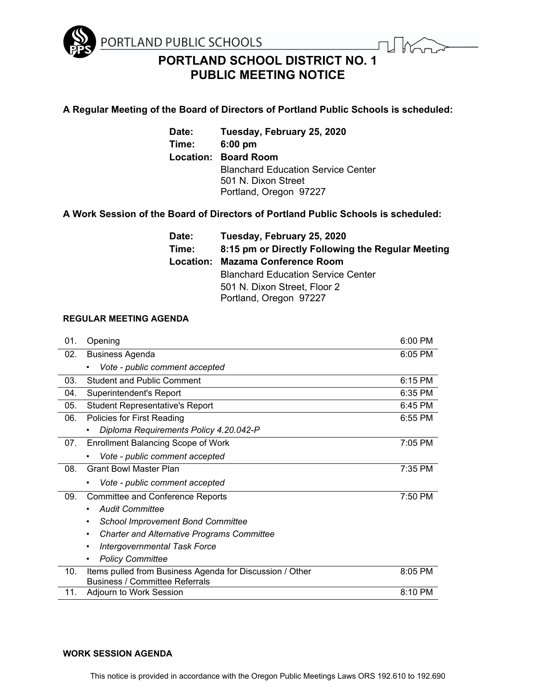

# **PORTLAND SCHOOL DISTRICT NO. 1 PUBLIC MEETING NOTICE**

## **A Regular Meeting of the Board of Directors of Portland Public Schools is scheduled:**

**Date: Tuesday, February 25, 2020 Time: 6:00 pm Location: Board Room** Blanchard Education Service Center 501 N. Dixon Street Portland, Oregon 97227

## **A Work Session of the Board of Directors of Portland Public Schools is scheduled:**

| Tuesday, February 25, 2020                        |
|---------------------------------------------------|
| 8:15 pm or Directly Following the Regular Meeting |
| <b>Mazama Conference Room</b>                     |
| <b>Blanchard Education Service Center</b>         |
| 501 N. Dixon Street, Floor 2                      |
| Portland, Oregon 97227                            |
|                                                   |

### **REGULAR MEETING AGENDA**

| 01. | Opening                                                                                           | 6:00 PM |
|-----|---------------------------------------------------------------------------------------------------|---------|
| 02. | <b>Business Agenda</b>                                                                            | 6:05 PM |
|     | Vote - public comment accepted<br>٠                                                               |         |
| 03. | <b>Student and Public Comment</b>                                                                 | 6:15 PM |
| 04. | Superintendent's Report                                                                           | 6:35 PM |
| 05. | <b>Student Representative's Report</b>                                                            | 6:45 PM |
| 06. | Policies for First Reading                                                                        | 6:55 PM |
|     | Diploma Requirements Policy 4.20.042-P                                                            |         |
| 07. | <b>Enrollment Balancing Scope of Work</b>                                                         | 7:05 PM |
|     | Vote - public comment accepted                                                                    |         |
| 08. | <b>Grant Bowl Master Plan</b>                                                                     | 7:35 PM |
|     | Vote - public comment accepted<br>٠                                                               |         |
| 09. | <b>Committee and Conference Reports</b>                                                           | 7:50 PM |
|     | <b>Audit Committee</b><br>٠                                                                       |         |
|     | <b>School Improvement Bond Committee</b>                                                          |         |
|     | <b>Charter and Alternative Programs Committee</b>                                                 |         |
|     | <b>Intergovernmental Task Force</b>                                                               |         |
|     | <b>Policy Committee</b><br>٠                                                                      |         |
| 10. | Items pulled from Business Agenda for Discussion / Other<br><b>Business / Committee Referrals</b> | 8:05 PM |
| 11. | Adjourn to Work Session                                                                           | 8:10 PM |